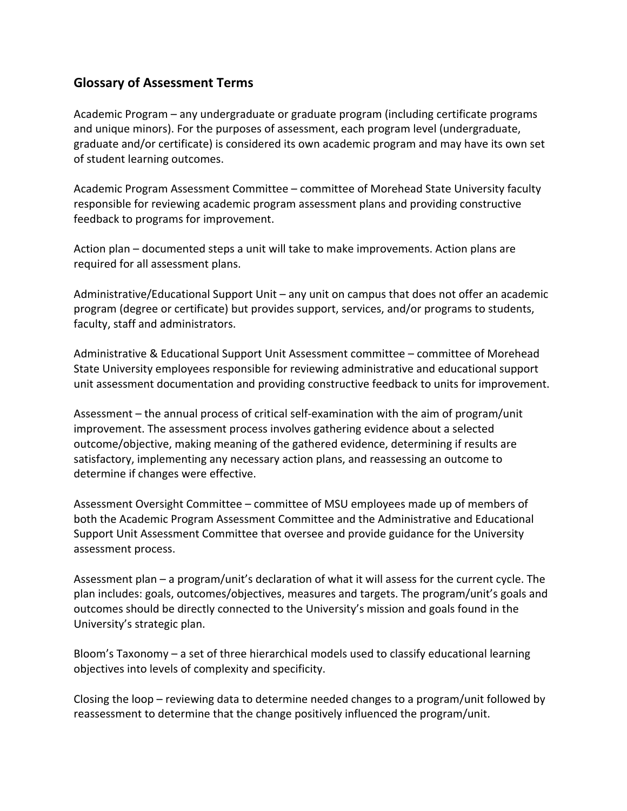## **Glossary of Assessment Terms**

Academic Program – any undergraduate or graduate program (including certificate programs and unique minors). For the purposes of assessment, each program level (undergraduate, graduate and/or certificate) is considered its own academic program and may have its own set of student learning outcomes.

Academic Program Assessment Committee – committee of Morehead State University faculty responsible for reviewing academic program assessment plans and providing constructive feedback to programs for improvement.

Action plan – documented steps a unit will take to make improvements. Action plans are required for all assessment plans.

Administrative/Educational Support Unit – any unit on campus that does not offer an academic program (degree or certificate) but provides support, services, and/or programs to students, faculty, staff and administrators.

Administrative & Educational Support Unit Assessment committee – committee of Morehead State University employees responsible for reviewing administrative and educational support unit assessment documentation and providing constructive feedback to units for improvement.

Assessment – the annual process of critical self‐examination with the aim of program/unit improvement. The assessment process involves gathering evidence about a selected outcome/objective, making meaning of the gathered evidence, determining if results are satisfactory, implementing any necessary action plans, and reassessing an outcome to determine if changes were effective.

Assessment Oversight Committee – committee of MSU employees made up of members of both the Academic Program Assessment Committee and the Administrative and Educational Support Unit Assessment Committee that oversee and provide guidance for the University assessment process.

Assessment plan – a program/unit's declaration of what it will assess for the current cycle. The plan includes: goals, outcomes/objectives, measures and targets. The program/unit's goals and outcomes should be directly connected to the University's mission and goals found in the University's strategic plan.

Bloom's Taxonomy – a set of three hierarchical models used to classify educational learning objectives into levels of complexity and specificity.

Closing the loop – reviewing data to determine needed changes to a program/unit followed by reassessment to determine that the change positively influenced the program/unit.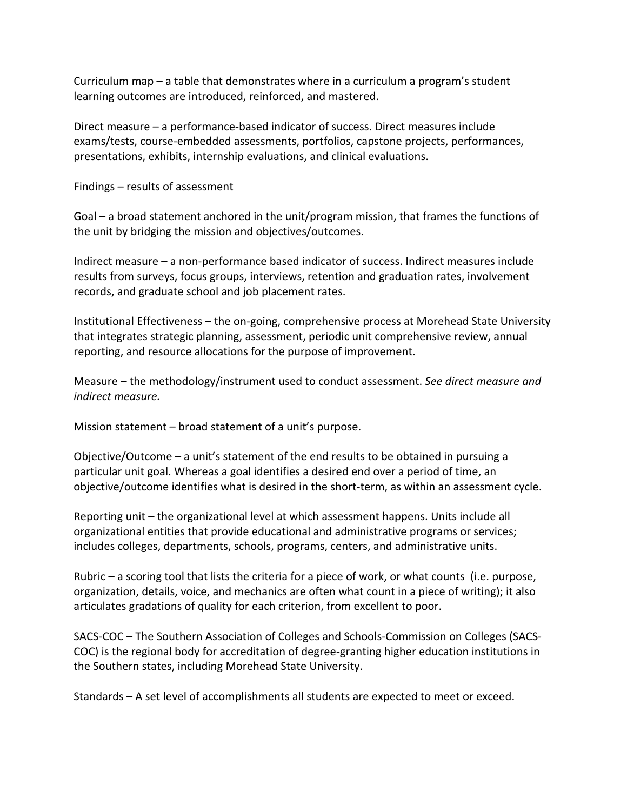Curriculum map – a table that demonstrates where in a curriculum a program's student learning outcomes are introduced, reinforced, and mastered.

Direct measure – a performance‐based indicator of success. Direct measures include exams/tests, course‐embedded assessments, portfolios, capstone projects, performances, presentations, exhibits, internship evaluations, and clinical evaluations.

Findings – results of assessment

Goal – a broad statement anchored in the unit/program mission, that frames the functions of the unit by bridging the mission and objectives/outcomes.

Indirect measure – a non‐performance based indicator of success. Indirect measures include results from surveys, focus groups, interviews, retention and graduation rates, involvement records, and graduate school and job placement rates.

Institutional Effectiveness – the on‐going, comprehensive process at Morehead State University that integrates strategic planning, assessment, periodic unit comprehensive review, annual reporting, and resource allocations for the purpose of improvement.

Measure – the methodology/instrument used to conduct assessment. *See direct measure and indirect measure.*

Mission statement – broad statement of a unit's purpose.

Objective/Outcome – a unit's statement of the end results to be obtained in pursuing a particular unit goal. Whereas a goal identifies a desired end over a period of time, an objective/outcome identifies what is desired in the short‐term, as within an assessment cycle.

Reporting unit – the organizational level at which assessment happens. Units include all organizational entities that provide educational and administrative programs or services; includes colleges, departments, schools, programs, centers, and administrative units.

Rubric – a scoring tool that lists the criteria for a piece of work, or what counts (i.e. purpose, organization, details, voice, and mechanics are often what count in a piece of writing); it also articulates gradations of quality for each criterion, from excellent to poor.

SACS‐COC – The Southern Association of Colleges and Schools‐Commission on Colleges (SACS‐ COC) is the regional body for accreditation of degree‐granting higher education institutions in the Southern states, including Morehead State University.

Standards – A set level of accomplishments all students are expected to meet or exceed.